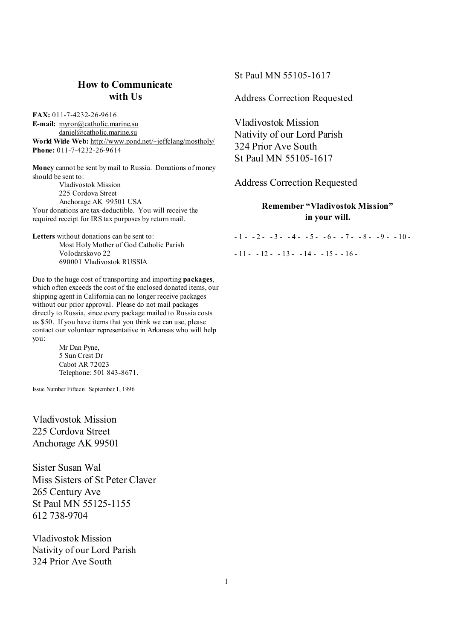# **How to Communicate with Us**

**FAX:** 011-7-4232-26-9616 **E-mail:** [myron@catholic.marine.su](mailto:myron@catholic.marine.su) [daniel@catholic.marine.su](mailto:daniel@catholic.marine.su) **World Wide Web:** <http://www.pond.net/~jeffclang/mostholy/> **Phone:** 011-7-4232-26-9614

**Money** cannot be sent by mail to Russia. Donations of money should be sent to: Vladivostok Mission 225 Cordova Street

Anchorage AK 99501 USA Your donations are tax-deductible. You will receive the required receipt for IRS tax purposes by return mail.

**Letters** without donations can be sent to: Most Holy Mother of God Catholic Parish Volodarskovo 22 690001 Vladivostok RUSSIA

Due to the huge cost of transporting and importing **packages**, which often exceeds the cost of the enclosed donated items, our shipping agent in California can no longer receive packages without our prior approval. Please do not mail packages directly to Russia, since every package mailed to Russia costs us \$50. If you have items that you think we can use, please contact our volunteer representative in Arkansas who will help you:

> Mr Dan Pyne, 5 Sun Crest Dr Cabot AR 72023 Telephone: 501 843-8671.

Issue Number Fifteen September 1, 1996

Vladivostok Mission 225 Cordova Street Anchorage AK 99501

Sister Susan Wal Miss Sisters of St Peter Claver 265 Century Ave St Paul MN 55125-1155 612 738-9704

Vladivostok Mission Nativity of our Lord Parish 324 Prior Ave South

St Paul MN 55105-1617

Address Correction Requested

Vladivostok Mission Nativity of our Lord Parish 324 Prior Ave South St Paul MN 55105-1617

Address Correction Requested

# **Remember "Vladivostok Mission" in your will.**

 $-1 - 2 - 3 - 4 - 5 - 6 - 7 - 8 - 9 - 10 - 7$ 

 $-11 - -12 - -13 - -14 - -15 - -16 -$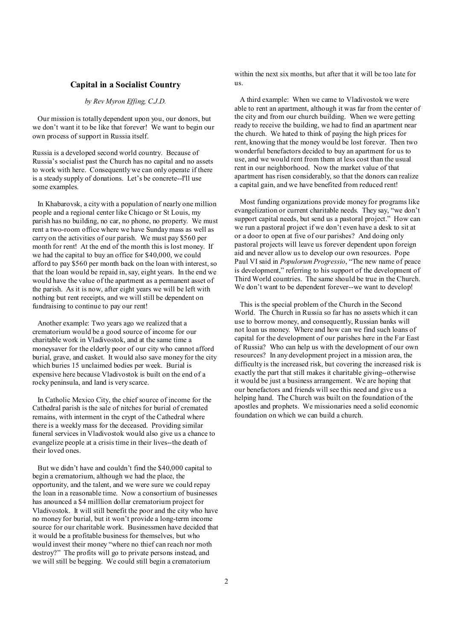### **Capital in a Socialist Country**

#### *by Rev Myron Effing, C.J.D.*

Our mission is totally dependent upon you, our donors, but we don't want it to be like that forever! We want to begin our own process of support in Russia itself.

Russia is a developed second world country. Because of Russia's socialist past the Church has no capital and no assets to work with here. Consequently we can only operate if there is a steady supply of donations. Let's be concrete--I'll use some examples.

In Khabarovsk, a city with a population of nearly one million people and a regional center like Chicago or St Louis, my parish has no building, no car, no phone, no property. We must rent a two-room office where we have Sundaymass as well as carry on the activities of our parish. We must pay \$560 per month for rent! At the end of the month this is lost money. If we had the capital to buy an office for \$40,000, we could afford to pay \$560 per month back on the loan with interest, so that the loan would be repaid in, say, eight years. In the end we would have the value of the apartment as a permanent asset of the parish. As it is now, after eight years we will be left with nothing but rent receipts, and we will still be dependent on fundraising to continue to pay our rent!

Another example: Two years ago we realized that a crematorium would be a good source of income for our charitable work in Vladivostok, and at the same time a moneysaver for the elderly poor of our city who cannot afford burial, grave, and casket. It would also save money for the city which buries 15 unclaimed bodies per week. Burial is expensive here because Vladivostok is built on the end of a rocky peninsula, and land is very scarce.

In Catholic Mexico City, the chief source of income for the Cathedral parish is the sale of nitches for burial of cremated remains, with interment in the crypt of the Cathedral where there is a weekly mass for the deceased. Providing similar funeral services in Vladivostok would also give us a chance to evangelize people at a crisis time in their lives--the death of their loved ones.

But we didn't have and couldn't find the \$40,000 capital to begin a crematorium, although we had the place, the opportunity, and the talent, and we were sure we could repay the loan in a reasonable time. Now a consortium of businesses has anounced a \$4 milllion dollar crematorium project for Vladivostok. It will still benefit the poor and the city who have no money for burial, but it won't provide a long-term income source for our charitable work. Businessmen have decided that it would be a profitable business for themselves, but who would invest their money "where no thief can reach nor moth destroy?" The profits will go to private persons instead, and we will still be begging. We could still begin a crematorium

within the next six months, but after that it will be too late for us.

 A third example: When we came to Vladivostok we were able to rent an apartment, although it was far from the center of the city and from our church building. When we were getting ready to receive the building, we had to find an apartment near the church. We hated to think of paying the high prices for rent, knowing that the money would be lost forever. Then two wonderful benefactors decided to buy an apartment for us to use, and we would rent from them at less cost than the usual rent in our neighborhood. Now the market value of that apartment has risen considerably, so that the donors can realize a capital gain, and we have benefited from reduced rent!

 Most funding organizations provide money for programs like evangelization or current charitable needs. They say, "we don't support capital needs, but send us a pastoral project." How can we run a pastoral project if we don't even have a desk to sit at or a door to open at five of our parishes? And doing only pastoral projects will leave us forever dependent upon foreign aid and never allow us to develop our own resources. Pope Paul VI said in *Populorum Progressio*, "The new name of peace is development," referring to his support of the development of Third World countries. The same should be true in the Church. We don't want to be dependent forever--we want to develop!

 This is the special problem of the Church in the Second World. The Church in Russia so far has no assets which it can use to borrow money, and consequently, Russian banks will not loan us money. Where and how can we find such loans of capital for the development of our parishes here in the Far East of Russia? Who can help us with the development of our own resources? In any development project in a mission area, the difficulty is the increased risk, but covering the increased risk is exactly the part that still makes it charitable giving--otherwise it would be just a business arrangement. We are hoping that our benefactors and friends will see this need and give us a helping hand. The Church was built on the foundation of the apostles and prophets. We missionaries need a solid economic foundation on which we can build a church.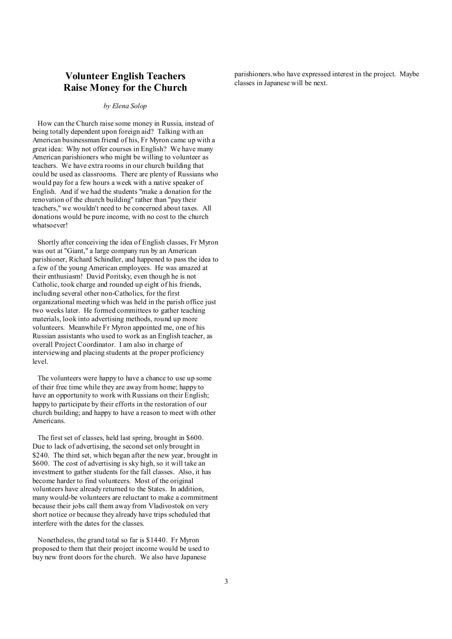# **Volunteer English Teachers Raise Money for the Church**

#### *by Elena Solop*

How can the Church raise some money in Russia, instead of being totally dependent upon foreign aid? Talking with an American businessman friend of his, Fr Myron came up with a great idea: Why not offer courses in English? We have many American parishioners who might be willing to volunteer as teachers. We have extra rooms in our church building that could be used as classrooms. There are plenty of Russians who would pay for a few hours a week with a native speaker of English. And if we had the students "make a donation for the renovation of the church building" rather than "pay their teachers," we wouldn't need to be concerned about taxes. All donations would be pure income, with no cost to the church whatsoever!

Shortly after conceiving the idea of English classes, Fr Myron was out at "Giant," a large company run by an American parishioner, Richard Schindler, and happened to pass the idea to a few of the young American employees. He was amazed at their enthusiasm! David Poritsky, even though he is not Catholic, took charge and rounded up eight of his friends, including several other non-Catholics, for the first organizational meeting which was held in the parish office just two weeks later. He formed committees to gather teaching materials, look into advertising methods, round up more volunteers. Meanwhile Fr Myron appointed me, one of his Russian assistants who used to work as an English teacher, as overall Project Coordinator. I am also in charge of interviewing and placing students at the proper proficiency level.

The volunteers were happy to have a chance to use up some of their free time while they are away from home; happy to have an opportunity to work with Russians on their English; happy to participate by their efforts in the restoration of our church building; and happy to have a reason to meet with other Americans.

The first set of classes, held last spring, brought in \$600. Due to lack of advertising, the second set only brought in \$240. The third set, which began after the new year, brought in \$600. The cost of advertising is sky high, so it will take an investment to gather students for the fall classes. Also, it has become harder to find volunteers. Most of the original volunteers have already returned to the States. In addition, many would-be volunteers are reluctant to make a commitment because their jobs call them away from Vladivostok on very short notice or because they already have trips scheduled that interfere with the dates for the classes.

Nonetheless, the grand total so far is \$1440. Fr Myron proposed to them that their project income would be used to buy new front doors for the church. We also have Japanese

parishioners.who have expressed interest in the project. Maybe classes in Japanese will be next.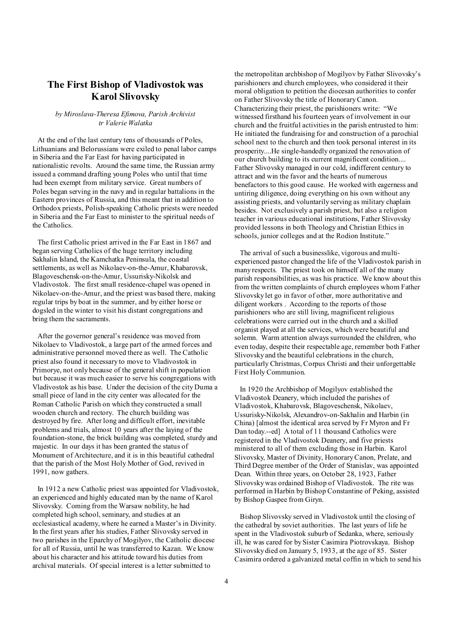# **The First Bishop of Vladivostok was Karol Slivovsky**

#### *by Miroslava-Theresa Efimova, Parish Archivist tr Valerie Walatka*

At the end of the last century tens of thousands of Poles, Lithuanians and Belorussians were exiled to penal labor camps in Siberia and the Far East for having participated in nationalistic revolts. Around the same time, the Russian army issued a command drafting young Poles who until that time had been exempt from military service. Great numbers of Poles began serving in the navy and in regular battalions in the Eastern provinces of Russia, and this meant that in addition to Orthodox priests, Polish-speaking Catholic priests were needed in Siberia and the Far East to minister to the spiritual needs of the Catholics.

The first Catholic priest arrived in the Far East in 1867 and began serving Catholics of the huge territory including Sakhalin Island, the Kamchatka Peninsula, the coastal settlements, as well as Nikolaev-on-the-Amur, Khabarovsk, Blagoveschensk-on-the-Amur, Ussurisky-Nikolsk and Vladivostok. The first small residence-chapel was opened in Nikolaev-on-the-Amur, and the priest was based there, making regular trips by boat in the summer, and by either horse or dogsled in the winter to visit his distant congregations and bring them the sacraments.

After the governor general's residence was moved from Nikolaev to Vladivostok, a large part of the armed forces and administrative personnel moved there as well. The Catholic priest also found it necessary to move to Vladivostok in Primorye, not only because of the general shift in population but because it was much easier to serve his congregations with Vladivostok as his base. Under the decision of the city Duma a small piece of land in the city center was allocated for the Roman Catholic Parish on which they constructed a small wooden church and rectory. The church building was destroyed by fire. After long and difficult effort, inevitable problems and trials, almost 10 years after the laying of the foundation-stone, the brick building was completed, sturdy and majestic. In our days it has been granted the status of Monument of Architecture, and it is in this beautiful cathedral that the parish of the Most Holy Mother of God, revived in 1991, now gathers.

In 1912 a new Catholic priest was appointed for Vladivostok, an experienced and highly educated man by the name of Karol Slivovsky. Coming from the Warsaw nobility, he had completed high school, seminary, and studies at an ecclesiastical academy, where he earned a Master's in Divinity. In the first years after his studies, Father Slivovsky served in two parishes in the Eparchy of Mogilyov, the Catholic diocese for all of Russia, until he was transferred to Kazan. We know about his character and his attitude toward his duties from archival materials. Of special interest is a letter submitted to

the metropolitan archbishop of Mogilyov by Father Slivovsky's parishioners and church employees, who considered it their moral obligation to petition the diocesan authorities to confer on Father Slivovsky the title of HonoraryCanon. Characterizing their priest, the parishioners write: "We witnessed firsthand his fourteen years of involvement in our church and the fruitful activities in the parish entrusted to him: He initiated the fundraising for and construction of a parochial school next to the church and then took personal interest in its prosperity....He single-handedly organized the renovation of our church building to its current magnificent condition.... Father Slivovsky managed in our cold, indifferent century to attract and win the favor and the hearts of numerous benefactors to this good cause. He worked with eagerness and untiring diligence, doing everything on his own without any assisting priests, and voluntarily serving as military chaplain besides. Not exclusively a parish priest, but also a religion teacher in various educational institutions, Father Slivovsky provided lessons in both Theology and Christian Ethics in schools, junior colleges and at the Rodion Institute."

 The arrival of such a businesslike, vigorous and multiexperienced pastor changed the life of the Vladivostok parish in many respects. The priest took on himself all of the many parish responsibilities, as was his practice. We know about this from the written complaints of church employees whom Father Slivovsky let go in favor of other, more authoritative and diligent workers . According to the reports of those parishioners who are still living, magnificent religious celebrations were carried out in the church and a skilled organist played at all the services, which were beautiful and solemn. Warm attention always surrounded the children, who even today, despite their respectable age, remember both Father Slivovsky and the beautiful celebrations in the church, particularly Christmas, Corpus Christi and their unforgettable First Holy Communion.

 In 1920 the Archbishop of Mogilyov established the Vladivostok Deanery, which included the parishes of Vladivostok, Khabarovsk, Blagoveschensk, Nikolaev, Ussurisky-Nikolsk, Alexandrov-on-Sakhalin and Harbin (in China) [almost the identical area served by Fr Myron and Fr Dan today.--ed] A total of 11 thousand Catholics were registered in the Vladivostok Deanery, and five priests ministered to all of them excluding those in Harbin. Karol Slivovsky, Master of Divinity, Honorary Canon, Prelate, and Third Degree member of the Order of Stanislav, was appointed Dean. Within three years, on October 28, 1923, Father Slivovsky was ordained Bishop of Vladivostok. The rite was performed in Harbin byBishop Constantine of Peking, assisted by Bishop Gaspee from Giryn.

 Bishop Slivovsky served in Vladivostok until the closing of the cathedral by soviet authorities. The last years of life he spent in the Vladivostok suburb of Sedanka, where, seriously ill, he was cared for by Sister Casimira Piotrovskaya. Bishop Slivovsky died on January 5, 1933, at the age of 85. Sister Casimira ordered a galvanized metal coffin in which to send his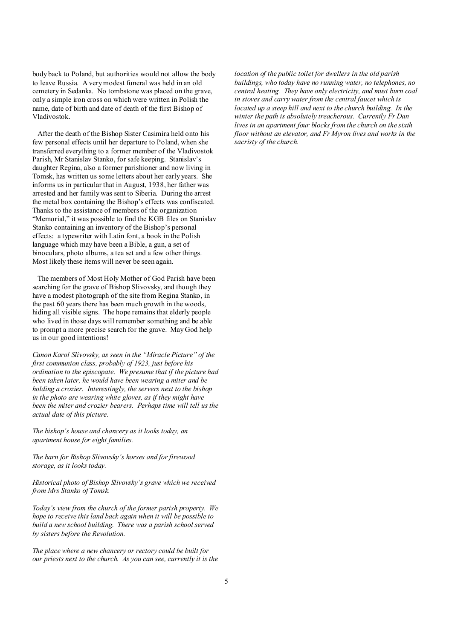body back to Poland, but authorities would not allow the body to leave Russia. A verymodest funeral was held in an old cemetery in Sedanka. No tombstone was placed on the grave, only a simple iron cross on which were written in Polish the name, date of birth and date of death of the first Bishop of Vladivostok.

After the death of the Bishop Sister Casimira held onto his few personal effects until her departure to Poland, when she transferred everything to a former member of the Vladivostok Parish, Mr Stanislav Stanko, for safe keeping. Stanislav's daughter Regina, also a former parishioner and now living in Tomsk, has written us some letters about her early years. She informs us in particular that in August, 1938, her father was arrested and her family was sent to Siberia. During the arrest the metal box containing the Bishop's effects was confiscated. Thanks to the assistance of members of the organization "Memorial," it was possible to find the KGB files on Stanislav Stanko containing an inventory of the Bishop's personal effects: a typewriter with Latin font, a book in the Polish language which may have been a Bible, a gun, a set of binoculars, photo albums, a tea set and a few other things. Most likely these items will never be seen again.

The members of Most Holy Mother of God Parish have been searching for the grave of Bishop Slivovsky, and though they have a modest photograph of the site from Regina Stanko, in the past 60 years there has been much growth in the woods, hiding all visible signs. The hope remains that elderly people who lived in those days will remember something and be able to prompt a more precise search for the grave. May God help us in our good intentions!

*Canon Karol Slivovsky, as seen in the "Miracle Picture" of the first communion class, probably of 1923, just before his ordination to the episcopate. We presume that if the picture had been taken later, he would have been wearing a miter and be holding a crozier. Interestingly, the servers next to the bishop in the photo are wearing white gloves, as if they might have been the miter and crozier bearers. Perhaps time will tell us the actual date of this picture.* 

*The bishop's house and chancery as it looks today, an apartment house for eight families.* 

*The barn for Bishop Slivovsky's horses and for firewood storage, as it looks today.* 

*Historical photo of Bishop Slivovsky's grave which we received from Mrs Stanko of Tomsk.* 

*Today's view from the church of the former parish property. We hope to receive this land back again when it will be possible to build a new school building. There was a parish school served by sisters before the Revolution.* 

*The place where a new chancery or rectory could be built for our priests next to the church. As you can see, currently it is the* 

*location of the public toilet for dwellers in the old parish buildings, who today have no running water, no telephones, no central heating. They have only electricity, and must burn coal in stoves and carry water from the central faucet which is located up a steep hill and next to the church building. In the winter the path is absolutely treacherous. Currently Fr Dan lives in an apartment four blocks from the church on the sixth floor without an elevator, and Fr Myron lives and works in the sacristy of the church.*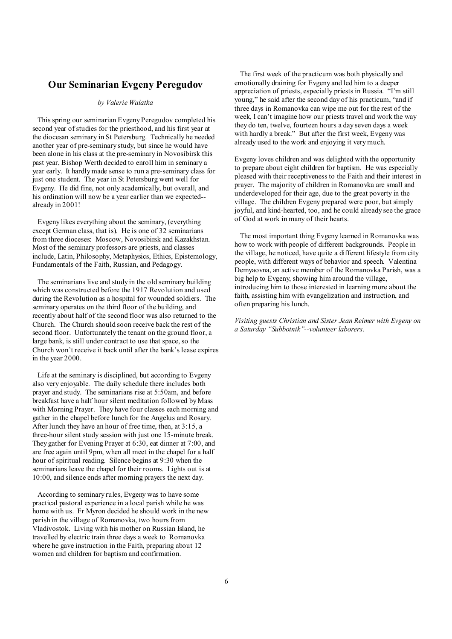### **Our Seminarian Evgeny Peregudov**

#### *by Valerie Walatka*

This spring our seminarian Evgeny Peregudov completed his second year of studies for the priesthood, and his first year at the diocesan seminary in St Petersburg. Technically he needed another year of pre-seminary study, but since he would have been alone in his class at the pre-seminary in Novosibirsk this past year, Bishop Werth decided to enroll him in seminary a year early. It hardlymade sense to run a pre-seminary class for just one student. The year in St Petersburg went well for Evgeny. He did fine, not only academically, but overall, and his ordination will now be a year earlier than we expected- already in 2001!

Evgeny likes everything about the seminary, (everything except German class, that is). He is one of 32 seminarians from three dioceses: Moscow, Novosibirsk and Kazakhstan. Most of the seminary professors are priests, and classes include, Latin, Philosophy, Metaphysics, Ethics, Epistemology, Fundamentals of the Faith, Russian, and Pedagogy.

The seminarians live and study in the old seminary building which was constructed before the 1917 Revolution and used during the Revolution as a hospital for wounded soldiers. The seminary operates on the third floor of the building, and recently about half of the second floor was also returned to the Church. The Church should soon receive back the rest of the second floor. Unfortunately the tenant on the ground floor, a large bank, is still under contract to use that space, so the Church won't receive it back until after the bank's lease expires in the year 2000.

Life at the seminary is disciplined, but according to Evgeny also very enjoyable. The daily schedule there includes both prayer and study. The seminarians rise at 5:50am, and before breakfast have a half hour silent meditation followed by Mass with Morning Prayer. They have four classes each morning and gather in the chapel before lunch for the Angelus and Rosary. After lunch they have an hour of free time, then, at 3:15, a three-hour silent study session with just one 15-minute break. They gather for Evening Prayer at 6:30, eat dinner at 7:00, and are free again until 9pm, when all meet in the chapel for a half hour of spiritual reading. Silence begins at 9:30 when the seminarians leave the chapel for their rooms. Lights out is at 10:00, and silence ends after morning prayers the next day.

According to seminary rules, Evgeny was to have some practical pastoral experience in a local parish while he was home with us. Fr Myron decided he should work in the new parish in the village of Romanovka, two hours from Vladivostok. Living with his mother on Russian Island, he travelled by electric train three days a week to Romanovka where he gave instruction in the Faith, preparing about 12 women and children for baptism and confirmation.

 The first week of the practicum was both physically and emotionally draining for Evgeny and led him to a deeper appreciation of priests, especially priests in Russia. "I'm still young," he said after the second day of his practicum, "and if three days in Romanovka can wipe me out for the rest of the week, I can't imagine how our priests travel and work the way they do ten, twelve, fourteen hours a day seven days a week with hardly a break." But after the first week, Evgeny was already used to the work and enjoying it very much.

Evgeny loves children and was delighted with the opportunity to prepare about eight children for baptism. He was especially pleased with their receptiveness to the Faith and their interest in prayer. The majority of children in Romanovka are small and underdeveloped for their age, due to the great poverty in the village. The children Evgeny prepared were poor, but simply joyful, and kind-hearted, too, and he could already see the grace of God at work in many of their hearts.

 The most important thing Evgeny learned in Romanovka was how to work with people of different backgrounds. People in the village, he noticed, have quite a different lifestyle from city people, with different ways of behavior and speech. Valentina Demyaovna, an active member of the Romanovka Parish, was a big help to Evgeny, showing him around the village, introducing him to those interested in learning more about the faith, assisting him with evangelization and instruction, and often preparing his lunch.

*Visiting guests Christian and Sister Jean Reimer with Evgeny on a Saturday "Subbotnik"--volunteer laborers.*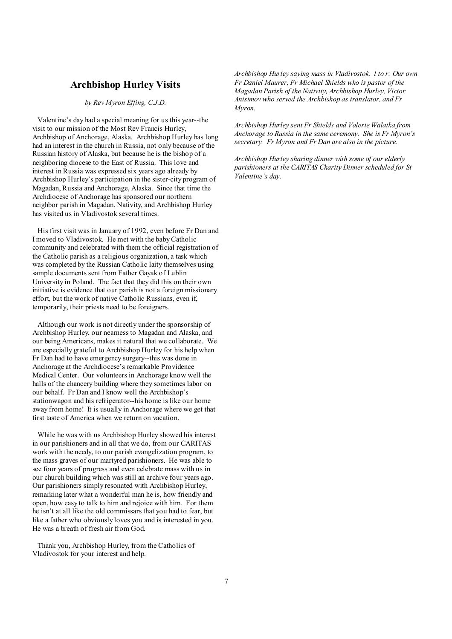### **Archbishop Hurley Visits**

*by Rev Myron Effing, C.J.D.*

Valentine's day had a special meaning for us this year--the visit to our mission of the Most Rev Francis Hurley, Archbishop of Anchorage, Alaska. Archbishop Hurley has long had an interest in the church in Russia, not only because of the Russian history of Alaska, but because he is the bishop of a neighboring diocese to the East of Russia. This love and interest in Russia was expressed six years ago already by Archbishop Hurley's participation in the sister-city program of Magadan, Russia and Anchorage, Alaska. Since that time the Archdiocese of Anchorage has sponsored our northern neighbor parish in Magadan, Nativity, and Archbishop Hurley has visited us in Vladivostok several times.

His first visit was in January of 1992, even before Fr Dan and I moved to Vladivostok. He met with the babyCatholic community and celebrated with them the official registration of the Catholic parish as a religious organization, a task which was completed by the Russian Catholic laity themselves using sample documents sent from Father Gayak of Lublin University in Poland. The fact that they did this on their own initiative is evidence that our parish is not a foreign missionary effort, but the work of native Catholic Russians, even if, temporarily, their priests need to be foreigners.

Although our work is not directly under the sponsorship of Archbishop Hurley, our nearness to Magadan and Alaska, and our being Americans, makes it natural that we collaborate. We are especially grateful to Archbishop Hurley for his help when Fr Dan had to have emergency surgery--this was done in Anchorage at the Archdiocese's remarkable Providence Medical Center. Our volunteers in Anchorage know well the halls of the chancery building where they sometimes labor on our behalf. Fr Dan and I know well the Archbishop's stationwagon and his refrigerator--his home is like our home away from home! It is usually in Anchorage where we get that first taste of America when we return on vacation.

While he was with us Archbishop Hurley showed his interest in our parishioners and in all that we do, from our CARITAS work with the needy, to our parish evangelization program, to the mass graves of our martyred parishioners. He was able to see four years of progress and even celebrate mass with us in our church building which was still an archive four years ago. Our parishioners simply resonated with Archbishop Hurley, remarking later what a wonderful man he is, how friendly and open, how easy to talk to him and rejoice with him. For them he isn't at all like the old commissars that you had to fear, but like a father who obviously loves you and is interested in you. He was a breath of fresh air from God.

Thank you, Archbishop Hurley, from the Catholics of Vladivostok for your interest and help.

*Archbishop Hurley saying mass in Vladivostok. l to r: Our own Fr Daniel Maurer, Fr Michael Shields who is pastor of the Magadan Parish of the Nativity, Archbishop Hurley, Victor Anisimov who served the Archbishop as translator, and Fr Myron.* 

*Archbishop Hurley sent Fr Shields and Valerie Walatka from Anchorage to Russia in the same ceremony. She is Fr Myron's secretary. Fr Myron and Fr Dan are also in the picture.* 

*Archbishop Hurley sharing dinner with some of our elderly parishioners at the CARITAS Charity Dinner scheduled for St Valentine's day.*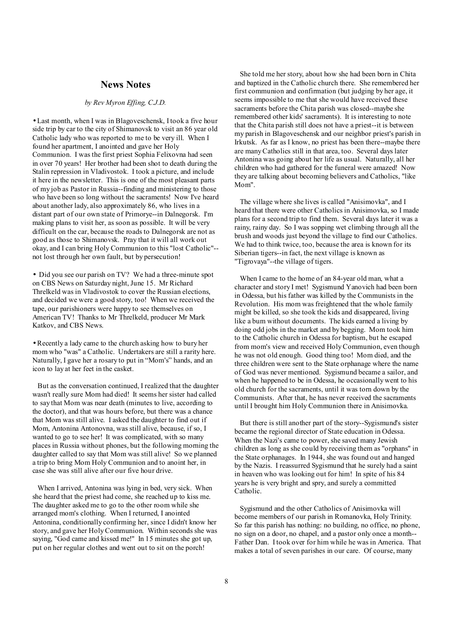### **News Notes**

#### *by Rev Myron Effing, C.J.D.*

• Last month, when I was in Blagoveschensk, I took a five hour side trip by car to the city of Shimanovsk to visit an 86 year old Catholic lady who was reported to me to be very ill. When I found her apartment, I anointed and gave her Holy Communion. I was the first priest Sophia Felixovna had seen in over 70 years! Her brother had been shot to death during the Stalin repression in Vladivostok. I took a picture, and include it here in the newsletter. This is one of the most pleasant parts of my job as Pastor in Russia--finding and ministering to those who have been so long without the sacraments! Now I've heard about another lady, also approximately 86, who lives in a distant part of our own state of Primorye--in Dalnegorsk. I'm making plans to visit her, as soon as possible. It will be very difficult on the car, because the roads to Dalnegorsk are not as good as those to Shimanovsk. Pray that it will all work out okay, and I can bring Holy Communion to this "lost Catholic"- not lost through her own fault, but by persecution!

• Did you see our parish on TV? We had a three-minute spot on CBS News on Saturday night, June 15. Mr Richard Threlkeld was in Vladivostok to cover the Russian elections, and decided we were a good story, too! When we received the tape, our parishioners were happy to see themselves on American TV! Thanks to Mr Threlkeld, producer Mr Mark Katkov, and CBS News.

• Recently a lady came to the church asking how to bury her mom who "was" a Catholic. Undertakers are still a rarity here. Naturally, I gave her a rosary to put in "Mom's" hands, and an icon to lay at her feet in the casket.

But as the conversation continued, I realized that the daughter wasn't really sure Mom had died! It seems her sister had called to say that Mom was near death (minutes to live, according to the doctor), and that was hours before, but there was a chance that Mom was still alive. I asked the daughter to find out if Mom, Antonina Antonovna, was still alive, because, if so, I wanted to go to see her! It was complicated, with so many places in Russia without phones, but the following morning the daughter called to say that Mom was still alive! So we planned a trip to bring Mom Holy Communion and to anoint her, in case she was still alive after our five hour drive.

When I arrived, Antonina was lying in bed, very sick. When she heard that the priest had come, she reached up to kiss me. The daughter asked me to go to the other room while she arranged mom's clothing. When I returned, I anointed Antonina, conditionally confirming her, since I didn't know her story, and gave her HolyCommunion. Within seconds she was saying, "God came and kissed me!" In 15 minutes she got up, put on her regular clothes and went out to sit on the porch!

 She told me her story, about how she had been born in Chita and baptized in the Catholic church there. She remembered her first communion and confirmation (but judging by her age, it seems impossible to me that she would have received these sacraments before the Chita parish was closed--maybe she remembered other kids' sacraments). It is interesting to note that the Chita parish still does not have a priest--it is between my parish in Blagoveschensk and our neighbor priest's parish in Irkutsk. As far as I know, no priest has been there--maybe there are manyCatholics still in that area, too. Several days later Antonina was going about her life as usual. Naturally, all her children who had gathered for the funeral were amazed! Now they are talking about becoming believers and Catholics, "like Mom".

 The village where she lives is called "Anisimovka", and I heard that there were other Catholics in Anisimovka, so I made plans for a second trip to find them. Several days later it was a rainy, rainy day. So I was sopping wet climbing through all the brush and woods just beyond the village to find our Catholics. We had to think twice, too, because the area is known for its Siberian tigers--in fact, the next village is known as "Tigrovaya"--the village of tigers.

 When I came to the home of an 84-year old man, what a character and story I met! Sygismund Yanovich had been born in Odessa, but his father was killed by the Communists in the Revolution. His mom was freightened that the whole family might be killed, so she took the kids and disappeared, living like a bum without documents. The kids earned a living by doing odd jobs in the market and by begging. Mom took him to the Catholic church in Odessa for baptism, but he escaped from mom's view and received HolyCommunion, even though he was not old enough. Good thing too! Mom died, and the three children were sent to the State orphanage where the name of God was never mentioned. Sygismund became a sailor, and when he happened to be in Odessa, he occasionally went to his old church for the sacraments, until it was torn down by the Communists. After that, he has never received the sacraments until I brought him Holy Communion there in Anisimovka.

 But there is still another part of the story--Sygismund's sister became the regional director of State education in Odessa. When the Nazi's came to power, she saved many Jewish children as long as she could by receiving them as "orphans" in the State orphanages. In 1944, she was found out and hanged by the Nazis. I reassurred Sygismund that he surely had a saint in heaven who was looking out for him! In spite of his 84 years he is very bright and spry, and surely a committed Catholic.

 Sygismund and the other Catholics of Anisimovka will become members of our parish in Romanovka, Holy Trinity. So far this parish has nothing: no building, no office, no phone, no sign on a door, no chapel, and a pastor only once a month-- Father Dan. I took over for him while he was in America. That makes a total of seven parishes in our care. Of course, many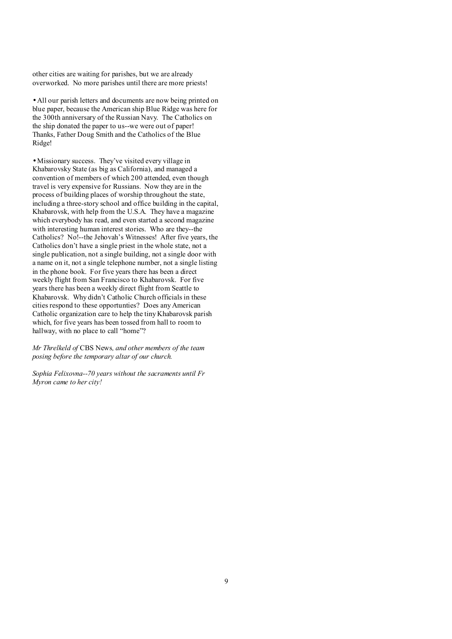other cities are waiting for parishes, but we are already overworked. No more parishes until there are more priests!

• All our parish letters and documents are now being printed on blue paper, because the American ship Blue Ridge was here for the 300th anniversary of the Russian Navy. The Catholics on the ship donated the paper to us--we were out of paper! Thanks, Father Doug Smith and the Catholics of the Blue Ridge!

• Missionary success. They've visited every village in Khabarovsky State (as big as California), and managed a convention of members of which 200 attended, even though travel is very expensive for Russians. Now they are in the process of building places of worship throughout the state, including a three-story school and office building in the capital, Khabarovsk, with help from the U.S.A. They have a magazine which everybody has read, and even started a second magazine with interesting human interest stories. Who are they--the Catholics? No!--the Jehovah's Witnesses! After five years, the Catholics don't have a single priest in the whole state, not a single publication, not a single building, not a single door with a name on it, not a single telephone number, not a single listing in the phone book. For five years there has been a direct weekly flight from San Francisco to Khabarovsk. For five years there has been a weekly direct flight from Seattle to Khabarovsk. Why didn't Catholic Church officials in these cities respond to these opportunties? Does any American Catholic organization care to help the tiny Khabarovsk parish which, for five years has been tossed from hall to room to hallway, with no place to call "home"?

*Mr Threlkeld of* CBS News*, and other members of the team posing before the temporary altar of our church.* 

*Sophia Felixovna--70 years without the sacraments until Fr Myron came to her city!*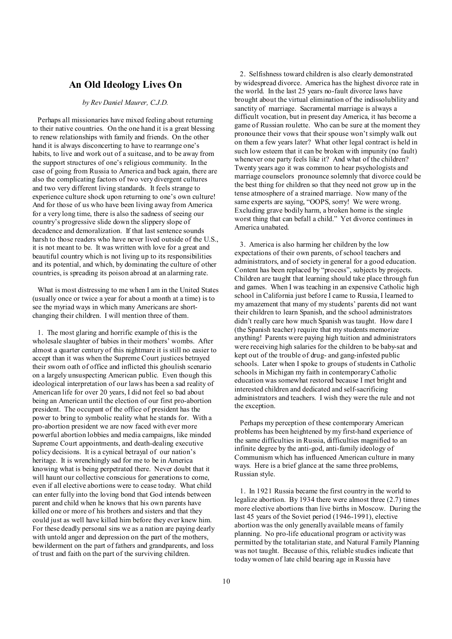### **An Old Ideology Lives On**

#### *by Rev Daniel Maurer, C.J.D.*

Perhaps all missionaries have mixed feeling about returning to their native countries. On the one hand it is a great blessing to renew relationships with family and friends. On the other hand it is always disconcerting to have to rearrange one's habits, to live and work out of a suitcase, and to be away from the support structures of one's religious community. In the case of going from Russia to America and back again, there are also the complicating factors of two very divergent cultures and two very different living standards. It feels strange to experience culture shock upon returning to one's own culture! And for those of us who have been living away from America for a very long time, there is also the sadness of seeing our country's progressive slide down the slippery slope of decadence and demoralization. If that last sentence sounds harsh to those readers who have never lived outside of the U.S., it is not meant to be. It was written with love for a great and beautiful country which is not living up to its responsibilities and its potential, and which, by dominating the culture of other countries, is spreading its poison abroad at an alarming rate.

What is most distressing to me when I am in the United States (usually once or twice a year for about a month at a time) is to see the myriad ways in which many Americans are shortchanging their children. I will mention three of them.

1. The most glaring and horrific example of this is the wholesale slaughter of babies in their mothers' wombs. After almost a quarter century of this nightmare it is still no easier to accept than it was when the Supreme Court justices betrayed their sworn oath of office and inflicted this ghoulish scenario on a largely unsuspecting American public. Even though this ideological interpretation of our laws has been a sad reality of American life for over 20 years, I did not feel so bad about being an American until the election of our first pro-abortion president. The occupant of the office of president has the power to bring to symbolic reality what he stands for. With a pro-abortion president we are now faced with ever more powerful abortion lobbies and media campaigns, like minded Supreme Court appointments, and death-dealing executive policy decisions. It is a cynical betrayal of our nation's heritage. It is wrenchingly sad for me to be in America knowing what is being perpetrated there. Never doubt that it will haunt our collective conscious for generations to come, even if all elective abortions were to cease today. What child can enter fully into the loving bond that God intends between parent and child when he knows that his own parents have killed one or more of his brothers and sisters and that they could just as well have killed him before they ever knew him. For these deadly personal sins we as a nation are paying dearly with untold anger and depression on the part of the mothers, bewilderment on the part of fathers and grandparents, and loss of trust and faith on the part of the surviving children.

 2. Selfishness toward children is also clearly demonstrated by widespread divorce. America has the highest divorce rate in the world. In the last 25 years no-fault divorce laws have brought about the virtual elimination of the indissolubility and sanctity of marriage. Sacramental marriage is always a difficult vocation, but in present day America, it has become a game of Russian roulette. Who can be sure at the moment they pronounce their vows that their spouse won't simply walk out on them a few years later? What other legal contract is held in such low esteem that it can be broken with impunity (no fault) whenever one party feels like it? And what of the children? Twenty years ago it was common to hear psychologists and marriage counselors pronounce solemnly that divorce could be the best thing for children so that they need not grow up in the tense atmosphere of a strained marriage. Now many of the same experts are saying, "OOPS, sorry! We were wrong. Excluding grave bodily harm, a broken home is the single worst thing that can befall a child." Yet divorce continues in America unabated.

 3. America is also harming her children by the low expectations of their own parents, of school teachers and administrators, and of society in general for a good education. Content has been replaced by "process", subjects by projects. Children are taught that learning should take place through fun and games. When I was teaching in an expensive Catholic high school in California just before I came to Russia, I learned to my amazement that many of my students' parents did not want their children to learn Spanish, and the school administrators didn't really care how much Spanish was taught. How dare I (the Spanish teacher) require that my students memorize anything! Parents were paying high tuition and administrators were receiving high salaries for the children to be baby-sat and kept out of the trouble of drug- and gang-infested public schools. Later when I spoke to groups of students in Catholic schools in Michigan my faith in contemporaryCatholic education was somewhat restored because I met bright and interested children and dedicated and self-sacrificing administrators and teachers. I wish they were the rule and not the exception.

 Perhaps my perception of these contemporary American problems has been heightened bymy first-hand experience of the same difficulties in Russia, difficulties magnified to an infinite degree by the anti-god, anti-family ideology of Communism which has influenced American culture in many ways. Here is a brief glance at the same three problems, Russian style.

 1. In 1921 Russia became the first country in the world to legalize abortion. By 1934 there were almost three (2.7) times more elective abortions than live births in Moscow. During the last 45 years of the Soviet period (1946-1991), elective abortion was the only generally available means of family planning. No pro-life educational program or activity was permitted by the totalitarian state, and Natural Family Planning was not taught. Because of this, reliable studies indicate that today women of late child bearing age in Russia have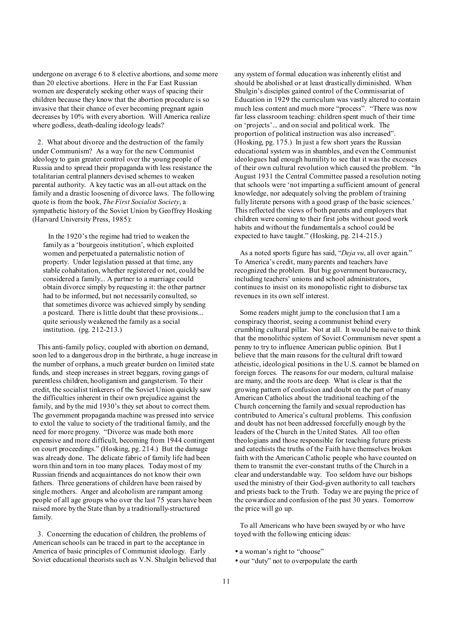undergone on average 6 to 8 elective abortions, and some more than 20 elective abortions. Here in the Far East Russian women are desperately seeking other ways of spacing their children because they know that the abortion procedure is so invasive that their chance of ever becoming pregnant again decreases by 10% with every abortion. Will America realize where godless, death-dealing ideology leads?

2. What about divorce and the destruction of the family under Communism? As a way for the new Communist ideology to gain greater control over the young people of Russia and to spread their propaganda with less resistance the totalitarian central planners devised schemes to weaken parental authority. A key tactic was an all-out attack on the family and a drastic loosening of divorce laws. The following quote is from the book, *The First Socialist Society*, a sympathetic history of the Soviet Union by Geoffrey Hosking (Harvard University Press, 1985):

 In the 1920's the regime had tried to weaken the family as a 'bourgeois institution', which exploited women and perpetuated a paternalistic notion of property. Under legislation passed at that time, any stable cohabitation, whether registered or not, could be considered a family... A partner to a marriage could obtain divorce simply by requesting it: the other partner had to be informed, but not necessarily consulted, so that sometimes divorce was achieved simply by sending a postcard. There is little doubt that these provisions... quite seriously weakened the family as a social institution. (pg. 212-213.)

This anti-family policy, coupled with abortion on demand, soon led to a dangerous drop in the birthrate, a huge increase in the number of orphans, a much greater burden on limited state funds, and steep increases in street beggars, roving gangs of parentless children, hooliganism and gangsterism. To their credit, the socialist tinkerers of the Soviet Union quickly saw the difficulties inherent in their own prejudice against the family, and by the mid 1930's they set about to correct them. The government propaganda machine was pressed into service to extol the value to society of the traditional family, and the need for more progeny. "Divorce was made both more expensive and more difficult, becoming from 1944 contingent on court proceedings." (Hosking, pg. 214.) But the damage was already done. The delicate fabric of family life had been worn thin and torn in too many places. Today most of my Russian friends and acquaintances do not know their own fathers. Three generations of children have been raised by single mothers. Anger and alcoholism are rampant among people of all age groups who over the last 75 years have been raised more by the State than by a traditionally-structured family.

3. Concerning the education of children, the problems of American schools can be traced in part to the acceptance in America of basic principles of Communist ideology. Early Soviet educational theorists such as V.N. Shulgin believed that

any system of formal education was inherently elitist and should be abolished or at least drastically diminished. When Shulgin's disciples gained control of the Commissariat of Education in 1929 the curriculum was vastly altered to contain much less content and much more "process". "There was now far less classroom teaching: children spent much of their time on 'projects'... and on social and political work. The proportion of political instruction was also increased". (Hosking, pg. 175.) In just a few short years the Russian educational system was in shambles, and even the Communist ideologues had enough humility to see that it was the excesses of their own cultural revolution which caused the problem. "In August 1931 the Central Committee passed a resolution noting that schools were 'not imparting a sufficient amount of general knowledge, nor adequately solving the problem of training fully literate persons with a good grasp of the basic sciences.' This reflected the views of both parents and employers that children were coming to their first jobs without good work habits and without the fundamentals a school could be expected to have taught." (Hosking, pg. 214-215.)

 As a noted sports figure has said, "*Deja vu*, all over again." To America's credit, many parents and teachers have recognized the problem. But big government bureaucracy, including teachers' unions and school administrators, continues to insist on its monopolistic right to disburse tax revenues in its own self interest.

 Some readers might jump to the conclusion that I am a conspiracy theorist, seeing a communist behind every crumbling cultural pillar. Not at all. It would be naive to think that the monolithic system of Soviet Communism never spent a penny to try to influence American public opinion. But I believe that the main reasons for the cultural drift toward atheistic, ideological positions in the U.S. cannot be blamed on foreign forces. The reasons for our modern, cultural malaise are many, and the roots are deep. What is clear is that the growing pattern of confusion and doubt on the part of many American Catholics about the traditional teaching of the Church concerning the family and sexual reproduction has contributed to America's cultural problems. This confusion and doubt has not been addressed forcefully enough by the leaders of the Church in the United States. All too often theologians and those responsible for teaching future priests and catechists the truths of the Faith have themselves broken faith with the American Catholic people who have counted on them to transmit the ever-constant truths of the Church in a clear and understandable way. Too seldom have our bishops used the ministry of their God-given authority to call teachers and priests back to the Truth. Today we are paying the price of the cowardice and confusion of the past 30 years. Tomorrow the price will go up.

 To all Americans who have been swayed by or who have toyed with the following enticing ideas:

- a woman's right to "choose"
- our "duty" not to overpopulate the earth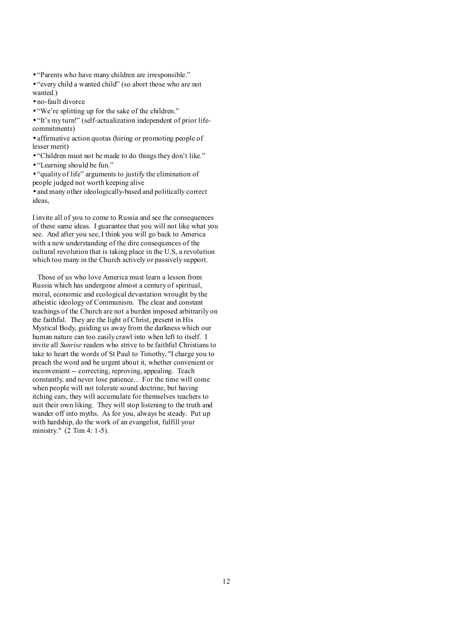- "Parents who have many children are irresponsible."
- "every child a wanted child" (so abort those who are not wanted.)
- no-fault divorce
- "We're splitting up for the sake of the children."

• "It's my turn!" (self-actualization independent of prior lifecommitments)

• affirmative action quotas (hiring or promoting people of lesser merit)

• "Children must not be made to do things they don't like."

• "Learning should be fun."

• "quality of life" arguments to justify the elimination of people judged not worth keeping alive • and many other ideologically-based and politically correct ideas,

I invite all of you to come to Russia and see the consequences of these same ideas. I guarantee that you will not like what you see. And after you see, I think you will go back to America with a new understanding of the dire consequences of the cultural revolution that is taking place in the U.S, a revolution which too many in the Church actively or passively support.

Those of us who love America must learn a lesson from Russia which has undergone almost a century of spiritual, moral, economic and ecological devastation wrought by the atheistic ideology of Communism. The clear and constant teachings of the Church are not a burden imposed arbitrarily on the faithful. They are the light of Christ, present in His Mystical Body, guiding us away from the darkness which our human nature can too easily crawl into when left to itself. I invite all *Sunrise* readers who strive to be faithful Christians to take to heart the words of St Paul to Timothy, "I charge you to preach the word and be urgent about it, whether convenient or inconvenient -- correcting, reproving, appealing. Teach constantly, and never lose patience... For the time will come when people will not tolerate sound doctrine, but having itching ears, they will accumulate for themselves teachers to suit their own liking. They will stop listening to the truth and wander off into myths. As for you, always be steady. Put up with hardship, do the work of an evangelist, fulfill your ministry." (2 Tim 4: 1-5).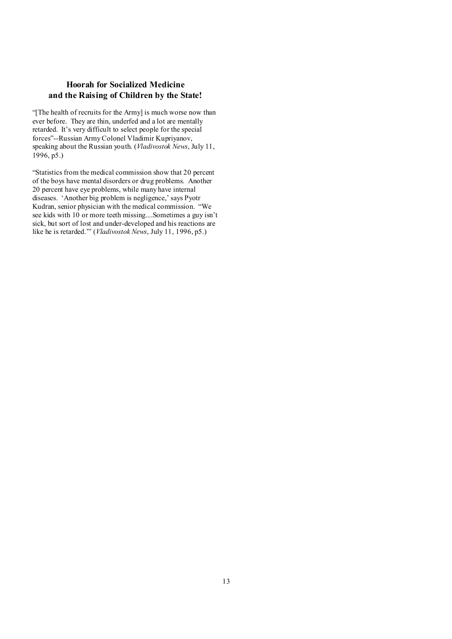## **Hoorah for Socialized Medicine and the Raising of Children by the State!**

"[The health of recruits for the Army] is much worse now than ever before. They are thin, underfed and a lot are mentally retarded. It's very difficult to select people for the special forces"--Russian Army Colonel Vladimir Kupriyanov, speaking about the Russian youth. (*Vladivostok News*, July 11, 1996, p5.)

"Statistics from the medical commission show that 20 percent of the boys have mental disorders or drug problems. Another 20 percent have eye problems, while many have internal diseases. 'Another big problem is negligence,' says Pyotr Kudran, senior physician with the medical commission. "We see kids with 10 or more teeth missing....Sometimes a guy isn't sick, but sort of lost and under-developed and his reactions are like he is retarded.'" (*Vladivostok News*, July 11, 1996, p5.)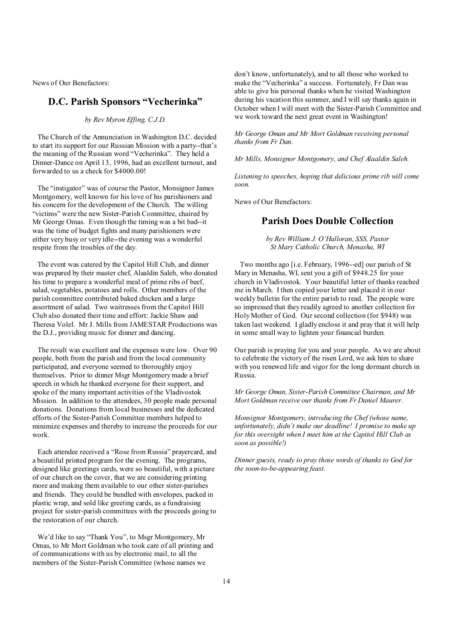News of Our Benefactors:

# **D.C. Parish Sponsors "Vecherinka"**

*by Rev Myron Effing, C.J.D.* 

The Church of the Annunciation in Washington D.C. decided to start its support for our Russian Mission with a party--that's the meaning of the Russian word "Vecherinka". They held a Dinner-Dance on April 13, 1996, had an excellent turnout, and forwarded to us a check for \$4000.00!

The "instigator" was of course the Pastor, Monsignor James Montgomery, well known for his love of his parishioners and his concern for the development of the Church. The willing "victims" were the new Sister-Parish Committee, chaired by Mr George Omas. Even though the timing was a bit bad--it was the time of budget fights and many parishioners were either very busy or very idle--the evening was a wonderful respite from the troubles of the day.

The event was catered by the Capitol Hill Club, and dinner was prepared by their master chef, Alaaldin Saleh, who donated his time to prepare a wonderful meal of prime ribs of beef, salad, vegetables, potatoes and rolls. Other members of the parish committee contributed baked chicken and a large assortment of salad. Two waitresses from the Capitol Hill Club also donated their time and effort: Jackie Shaw and Theresa Volel. Mr J. Mills from JAMESTAR Productions was the D.J., providing music for dinner and dancing.

The result was excellent and the expenses were low. Over 90 people, both from the parish and from the local community participated, and everyone seemed to thoroughly enjoy themselves. Prior to dinner Msgr Montgomerymade a brief speech in which he thanked everyone for their support, and spoke of the many important activities of the Vladivostok Mission. In addition to the attendees, 30 people made personal donations. Donations from local businesses and the dedicated efforts of the Sister-Parish Committee members helped to minimize expenses and thereby to increase the proceeds for our work.

Each attendee received a "Rose from Russia" prayercard, and a beautiful printed program for the evening. The programs, designed like greetings cards, were so beautiful, with a picture of our church on the cover, that we are considering printing more and making them available to our other sister-parishes and friends. They could be bundled with envelopes, packed in plastic wrap, and sold like greeting cards, as a fundraising project for sister-parish committees with the proceeds going to the restoration of our church.

We'd like to say "Thank You", to Msgr Montgomery, Mr Omas, to Mr Mort Goldman who took care of all printing and of communications with us by electronic mail, to all the members of the Sister-Parish Committee (whose names we

don't know, unfortunately), and to all those who worked to make the "Vecherinka" a success. Fortunately, Fr Dan was able to give his personal thanks when he visited Washington during his vacation this summer, and I will say thanks again in October when I will meet with the Sister-Parish Committee and we work toward the next great event in Washington!

*Mr George Oman and Mr Mort Goldman receiving personal thanks from Fr Dan.* 

*Mr Mills, Monsignor Montgomery, and Chef Alaaldin Saleh.* 

*Listening to speeches, hoping that delicious prime rib will come soon.* 

News of Our Benefactors:

# **Parish Does Double Collection**

*by Rev William J. O'Halloran, SSS, Pastor St Mary Catholic Church, Menasha, WI* 

 Two months ago [i.e. February, 1996--ed] our parish of St Mary in Menasha, WI, sent you a gift of \$948.25 for your church in Vladivostok. Your beautiful letter of thanks reached me in March. I then copied your letter and placed it in our weekly bulletin for the entire parish to read. The people were so impressed that they readily agreed to another collection for Holy Mother of God. Our second collection (for \$948) was taken last weekend. I gladly enclose it and pray that it will help in some small way to lighten your financial burden.

Our parish is praying for you and your people. As we are about to celebrate the victory of the risen Lord, we ask him to share with you renewed life and vigor for the long dormant church in Russia.

*Mr George Oman, Sister-Parish Committee Chairman, and Mr Mort Goldman receive our thanks from Fr Daniel Maurer.* 

*Monsignor Montgomery, introducing the Chef (whose name, unfortunately, didn't make our deadline! I promise to make up for this oversight when I meet him at the Capitol Hill Club as soon as possible!)* 

*Dinner guests, ready to pray those words of thanks to God for the soon-to-be-appearing feast.*